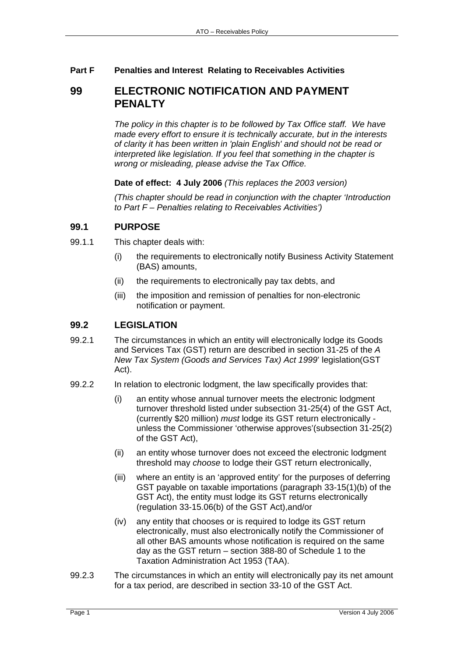### **Part F Penalties and Interest Relating to Receivables Activities**

# **99 ELECTRONIC NOTIFICATION AND PAYMENT PENALTY**

*The policy in this chapter is to be followed by Tax Office staff. We have made every effort to ensure it is technically accurate, but in the interests of clarity it has been written in 'plain English' and should not be read or interpreted like legislation. If you feel that something in the chapter is wrong or misleading, please advise the Tax Office.*

#### **Date of effect: 4 July 2006** *(This replaces the 2003 version)*

*(This chapter should be read in conjunction with the chapter 'Introduction to Part F – Penalties relating to Receivables Activities')* 

### **99.1 PURPOSE**

- 99.1.1 This chapter deals with:
	- (i) the requirements to electronically notify Business Activity Statement (BAS) amounts,
	- (ii) the requirements to electronically pay tax debts, and
	- (iii) the imposition and remission of penalties for non-electronic notification or payment.

### **99.2 LEGISLATION**

- 99.2.1 The circumstances in which an entity will electronically lodge its Goods and Services Tax (GST) return are described in section 31-25 of the *A New Tax System (Goods and Services Tax) Act 1999*' legislation(GST Act).
- 99.2.2 In relation to electronic lodgment, the law specifically provides that:
	- (i) an entity whose annual turnover meets the electronic lodgment turnover threshold listed under subsection 31-25(4) of the GST Act, (currently \$20 million) *must* lodge its GST return electronically unless the Commissioner 'otherwise approves'(subsection 31-25(2) of the GST Act),
	- (ii) an entity whose turnover does not exceed the electronic lodgment threshold may *choose* to lodge their GST return electronically,
	- (iii) where an entity is an 'approved entity' for the purposes of deferring GST payable on taxable importations (paragraph 33-15(1)(b) of the GST Act), the entity must lodge its GST returns electronically (regulation 33-15.06(b) of the GST Act),and/or
	- (iv) any entity that chooses or is required to lodge its GST return electronically, must also electronically notify the Commissioner of all other BAS amounts whose notification is required on the same day as the GST return – section 388-80 of Schedule 1 to the Taxation Administration Act 1953 (TAA).
- 99.2.3 The circumstances in which an entity will electronically pay its net amount for a tax period, are described in section 33-10 of the GST Act.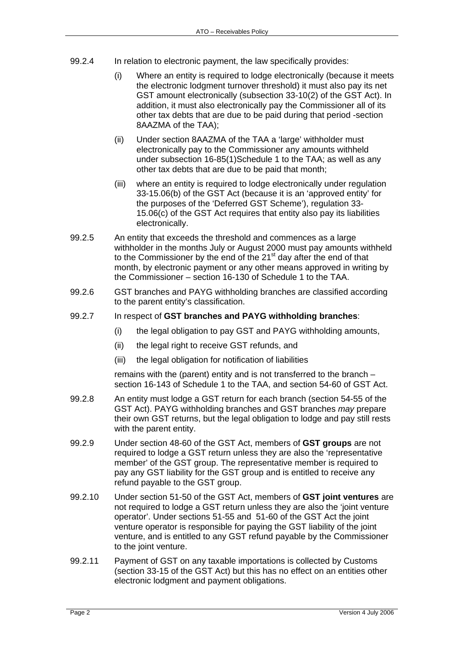- 99.2.4 In relation to electronic payment, the law specifically provides:
	- (i) Where an entity is required to lodge electronically (because it meets the electronic lodgment turnover threshold) it must also pay its net GST amount electronically (subsection 33-10(2) of the GST Act). In addition, it must also electronically pay the Commissioner all of its other tax debts that are due to be paid during that period -section 8AAZMA of the TAA);
	- (ii) Under section 8AAZMA of the TAA a 'large' withholder must electronically pay to the Commissioner any amounts withheld under subsection 16-85(1)Schedule 1 to the TAA; as well as any other tax debts that are due to be paid that month;
	- (iii) where an entity is required to lodge electronically under regulation 33-15.06(b) of the GST Act (because it is an 'approved entity' for the purposes of the 'Deferred GST Scheme'), regulation 33- 15.06(c) of the GST Act requires that entity also pay its liabilities electronically.
- 99.2.5 An entity that exceeds the threshold and commences as a large withholder in the months July or August 2000 must pay amounts withheld to the Commissioner by the end of the 21 $\mathrm{^{st}}$  day after the end of that month, by electronic payment or any other means approved in writing by the Commissioner – section 16-130 of Schedule 1 to the TAA.
- 99.2.6 GST branches and PAYG withholding branches are classified according to the parent entity's classification.
- 99.2.7 In respect of **GST branches and PAYG withholding branches**:
	- (i) the legal obligation to pay GST and PAYG withholding amounts,
	- (ii) the legal right to receive GST refunds, and
	- (iii) the legal obligation for notification of liabilities

remains with the (parent) entity and is not transferred to the branch – section 16-143 of Schedule 1 to the TAA, and section 54-60 of GST Act.

- 99.2.8 An entity must lodge a GST return for each branch (section 54-55 of the GST Act). PAYG withholding branches and GST branches *may* prepare their own GST returns, but the legal obligation to lodge and pay still rests with the parent entity.
- 99.2.9 Under section 48-60 of the GST Act, members of **GST groups** are not required to lodge a GST return unless they are also the 'representative member' of the GST group. The representative member is required to pay any GST liability for the GST group and is entitled to receive any refund payable to the GST group.
- 99.2.10 Under section 51-50 of the GST Act, members of **GST joint ventures** are not required to lodge a GST return unless they are also the 'joint venture operator'. Under sections 51-55 and 51-60 of the GST Act the joint venture operator is responsible for paying the GST liability of the joint venture, and is entitled to any GST refund payable by the Commissioner to the joint venture.
- 99.2.11 Payment of GST on any taxable importations is collected by Customs (section 33-15 of the GST Act) but this has no effect on an entities other electronic lodgment and payment obligations.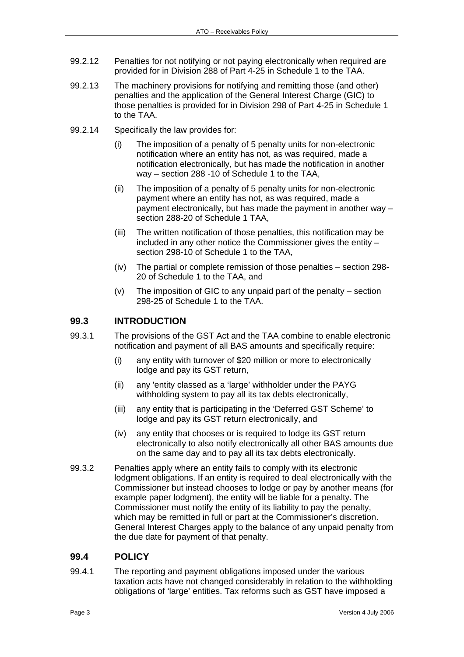- 99.2.12 Penalties for not notifying or not paying electronically when required are provided for in Division 288 of Part 4-25 in Schedule 1 to the TAA.
- 99.2.13 The machinery provisions for notifying and remitting those (and other) penalties and the application of the General Interest Charge (GIC) to those penalties is provided for in Division 298 of Part 4-25 in Schedule 1 to the TAA.
- 99.2.14 Specifically the law provides for:
	- (i) The imposition of a penalty of 5 penalty units for non-electronic notification where an entity has not, as was required, made a notification electronically, but has made the notification in another way – section 288 -10 of Schedule 1 to the TAA,
	- (ii) The imposition of a penalty of 5 penalty units for non-electronic payment where an entity has not, as was required, made a payment electronically, but has made the payment in another way – section 288-20 of Schedule 1 TAA,
	- (iii) The written notification of those penalties, this notification may be included in any other notice the Commissioner gives the entity – section 298-10 of Schedule 1 to the TAA,
	- (iv) The partial or complete remission of those penalties section 298- 20 of Schedule 1 to the TAA, and
	- (v) The imposition of GIC to any unpaid part of the penalty section 298-25 of Schedule 1 to the TAA.

## **99.3 INTRODUCTION**

- 99.3.1 The provisions of the GST Act and the TAA combine to enable electronic notification and payment of all BAS amounts and specifically require:
	- (i) any entity with turnover of \$20 million or more to electronically lodge and pay its GST return,
	- (ii) any 'entity classed as a 'large' withholder under the PAYG withholding system to pay all its tax debts electronically,
	- (iii) any entity that is participating in the 'Deferred GST Scheme' to lodge and pay its GST return electronically, and
	- (iv) any entity that chooses or is required to lodge its GST return electronically to also notify electronically all other BAS amounts due on the same day and to pay all its tax debts electronically.
- 99.3.2 Penalties apply where an entity fails to comply with its electronic lodgment obligations. If an entity is required to deal electronically with the Commissioner but instead chooses to lodge or pay by another means (for example paper lodgment), the entity will be liable for a penalty. The Commissioner must notify the entity of its liability to pay the penalty, which may be remitted in full or part at the Commissioner's discretion. General Interest Charges apply to the balance of any unpaid penalty from the due date for payment of that penalty.

## **99.4 POLICY**

99.4.1 The reporting and payment obligations imposed under the various taxation acts have not changed considerably in relation to the withholding obligations of 'large' entities. Tax reforms such as GST have imposed a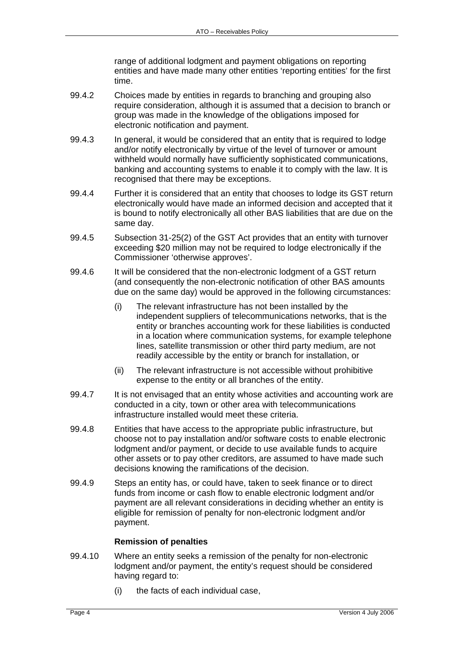range of additional lodgment and payment obligations on reporting entities and have made many other entities 'reporting entities' for the first time.

- 99.4.2 Choices made by entities in regards to branching and grouping also require consideration, although it is assumed that a decision to branch or group was made in the knowledge of the obligations imposed for electronic notification and payment.
- 99.4.3 In general, it would be considered that an entity that is required to lodge and/or notify electronically by virtue of the level of turnover or amount withheld would normally have sufficiently sophisticated communications, banking and accounting systems to enable it to comply with the law. It is recognised that there may be exceptions.
- 99.4.4 Further it is considered that an entity that chooses to lodge its GST return electronically would have made an informed decision and accepted that it is bound to notify electronically all other BAS liabilities that are due on the same day.
- 99.4.5 Subsection 31-25(2) of the GST Act provides that an entity with turnover exceeding \$20 million may not be required to lodge electronically if the Commissioner 'otherwise approves'.
- 99.4.6 It will be considered that the non-electronic lodgment of a GST return (and consequently the non-electronic notification of other BAS amounts due on the same day) would be approved in the following circumstances:
	- (i) The relevant infrastructure has not been installed by the independent suppliers of telecommunications networks, that is the entity or branches accounting work for these liabilities is conducted in a location where communication systems, for example telephone lines, satellite transmission or other third party medium, are not readily accessible by the entity or branch for installation, or
	- (ii) The relevant infrastructure is not accessible without prohibitive expense to the entity or all branches of the entity.
- 99.4.7 It is not envisaged that an entity whose activities and accounting work are conducted in a city, town or other area with telecommunications infrastructure installed would meet these criteria.
- 99.4.8 Entities that have access to the appropriate public infrastructure, but choose not to pay installation and/or software costs to enable electronic lodgment and/or payment, or decide to use available funds to acquire other assets or to pay other creditors, are assumed to have made such decisions knowing the ramifications of the decision.
- 99.4.9 Steps an entity has, or could have, taken to seek finance or to direct funds from income or cash flow to enable electronic lodgment and/or payment are all relevant considerations in deciding whether an entity is eligible for remission of penalty for non-electronic lodgment and/or payment.

#### **Remission of penalties**

- 99.4.10 Where an entity seeks a remission of the penalty for non-electronic lodgment and/or payment, the entity's request should be considered having regard to:
	- (i) the facts of each individual case,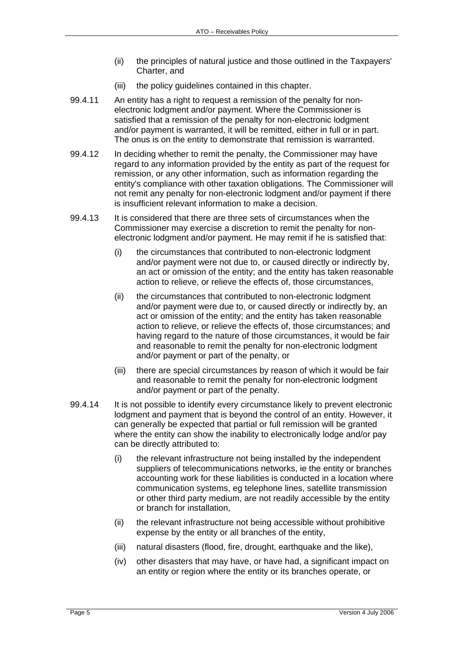- (ii) the principles of natural justice and those outlined in the Taxpayers' Charter, and
- (iii) the policy guidelines contained in this chapter.
- 99.4.11 An entity has a right to request a remission of the penalty for nonelectronic lodgment and/or payment. Where the Commissioner is satisfied that a remission of the penalty for non-electronic lodgment and/or payment is warranted, it will be remitted, either in full or in part. The onus is on the entity to demonstrate that remission is warranted.
- 99.4.12 In deciding whether to remit the penalty, the Commissioner may have regard to any information provided by the entity as part of the request for remission, or any other information, such as information regarding the entity's compliance with other taxation obligations. The Commissioner will not remit any penalty for non-electronic lodgment and/or payment if there is insufficient relevant information to make a decision.
- 99.4.13 It is considered that there are three sets of circumstances when the Commissioner may exercise a discretion to remit the penalty for nonelectronic lodgment and/or payment. He may remit if he is satisfied that:
	- (i) the circumstances that contributed to non-electronic lodgment and/or payment were not due to, or caused directly or indirectly by, an act or omission of the entity; and the entity has taken reasonable action to relieve, or relieve the effects of, those circumstances,
	- (ii) the circumstances that contributed to non-electronic lodgment and/or payment were due to, or caused directly or indirectly by, an act or omission of the entity; and the entity has taken reasonable action to relieve, or relieve the effects of, those circumstances; and having regard to the nature of those circumstances, it would be fair and reasonable to remit the penalty for non-electronic lodgment and/or payment or part of the penalty, or
	- (iii) there are special circumstances by reason of which it would be fair and reasonable to remit the penalty for non-electronic lodgment and/or payment or part of the penalty.
- 99.4.14 It is not possible to identify every circumstance likely to prevent electronic lodgment and payment that is beyond the control of an entity. However, it can generally be expected that partial or full remission will be granted where the entity can show the inability to electronically lodge and/or pay can be directly attributed to:
	- (i) the relevant infrastructure not being installed by the independent suppliers of telecommunications networks, ie the entity or branches accounting work for these liabilities is conducted in a location where communication systems, eg telephone lines, satellite transmission or other third party medium, are not readily accessible by the entity or branch for installation,
	- (ii) the relevant infrastructure not being accessible without prohibitive expense by the entity or all branches of the entity,
	- (iii) natural disasters (flood, fire, drought, earthquake and the like),
	- (iv) other disasters that may have, or have had, a significant impact on an entity or region where the entity or its branches operate, or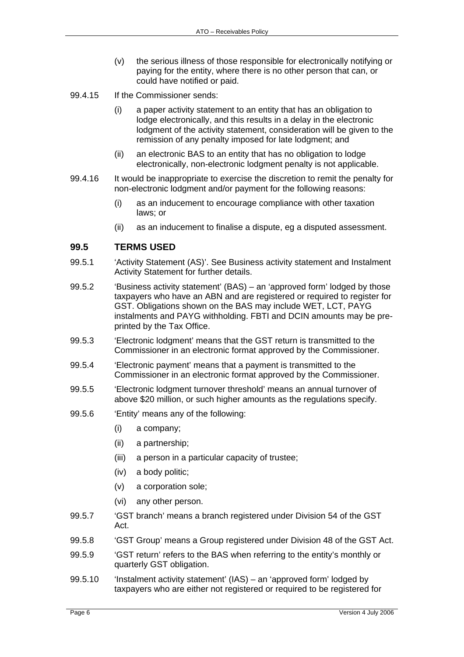- (v) the serious illness of those responsible for electronically notifying or paying for the entity, where there is no other person that can, or could have notified or paid.
- 99.4.15 If the Commissioner sends:
	- (i) a paper activity statement to an entity that has an obligation to lodge electronically, and this results in a delay in the electronic lodgment of the activity statement, consideration will be given to the remission of any penalty imposed for late lodgment; and
	- (ii) an electronic BAS to an entity that has no obligation to lodge electronically, non-electronic lodgment penalty is not applicable.
- 99.4.16 It would be inappropriate to exercise the discretion to remit the penalty for non-electronic lodgment and/or payment for the following reasons:
	- (i) as an inducement to encourage compliance with other taxation laws; or
	- (ii) as an inducement to finalise a dispute, eg a disputed assessment.

### **99.5 TERMS USED**

- 99.5.1 'Activity Statement (AS)'. See Business activity statement and Instalment Activity Statement for further details.
- 99.5.2 'Business activity statement' (BAS) an 'approved form' lodged by those taxpayers who have an ABN and are registered or required to register for GST. Obligations shown on the BAS may include WET, LCT, PAYG instalments and PAYG withholding. FBTI and DCIN amounts may be preprinted by the Tax Office.
- 99.5.3 'Electronic lodgment' means that the GST return is transmitted to the Commissioner in an electronic format approved by the Commissioner.
- 99.5.4 'Electronic payment' means that a payment is transmitted to the Commissioner in an electronic format approved by the Commissioner.
- 99.5.5 'Electronic lodgment turnover threshold' means an annual turnover of above \$20 million, or such higher amounts as the regulations specify.
- 99.5.6 'Entity' means any of the following:
	- (i) a company;
	- (ii) a partnership;
	- (iii) a person in a particular capacity of trustee;
	- (iv) a body politic;
	- (v) a corporation sole;
	- (vi) any other person.
- 99.5.7 'GST branch' means a branch registered under Division 54 of the GST Act.
- 99.5.8 'GST Group' means a Group registered under Division 48 of the GST Act.
- 99.5.9 'GST return' refers to the BAS when referring to the entity's monthly or quarterly GST obligation.
- 99.5.10 'Instalment activity statement' (IAS) an 'approved form' lodged by taxpayers who are either not registered or required to be registered for